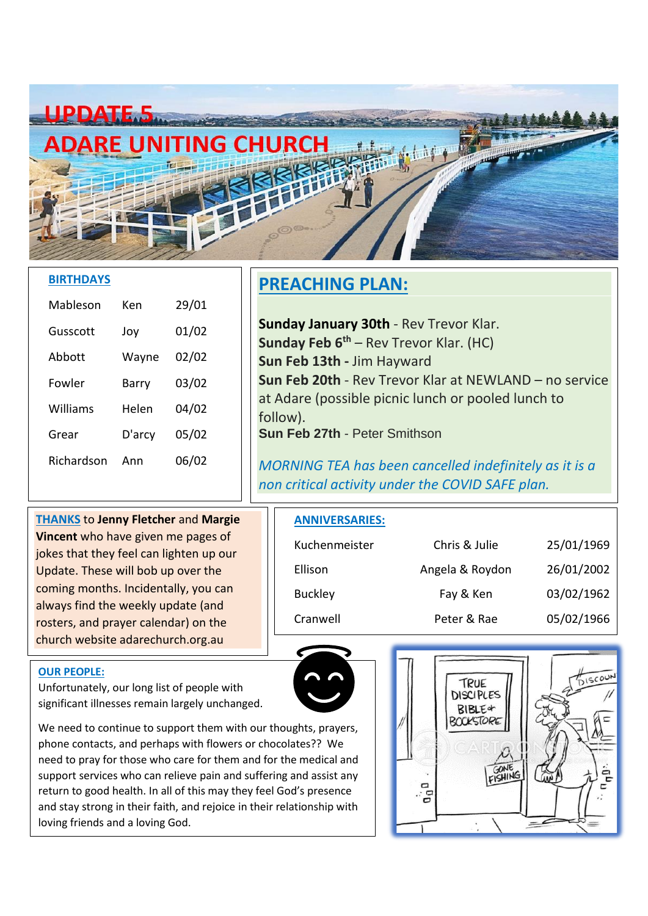

#### **BIRTHDAYS**

| Mableson   | Ken    | 29/01 |
|------------|--------|-------|
| Gusscott   | Joy    | 01/02 |
| Abbott     | Wayne  | 02/02 |
| Fowler     | Barry  | 03/02 |
| Williams   | Helen  | 04/02 |
| Grear      | D'arcy | 05/02 |
| Richardson | Ann    | 06/02 |

### **PREACHING PLAN:**

**Sunday January 30th** - Rev Trevor Klar. **Sunday Feb 6th** – Rev Trevor Klar. (HC) **Sun Feb 13th -** Jim Hayward **Sun Feb 20th** - Rev Trevor Klar at NEWLAND – no service at Adare (possible picnic lunch or pooled lunch to follow). **Sun Feb 27th** - Peter Smithson

*MORNING TEA has been cancelled indefinitely as it is a non critical activity under the COVID SAFE plan.*

**THANKS** to **Jenny Fletcher** and **Margie Vincent** who have given me pages of jokes that they feel can lighten up our Update. These will bob up over the coming months. Incidentally, you can always find the weekly update (and rosters, and prayer calendar) on the church website adarechurch.org.au

#### **ANNIVERSARIES:**

| Kuchenmeister  | Chris & Julie   | 25/01/1969 |
|----------------|-----------------|------------|
| Ellison        | Angela & Roydon | 26/01/2002 |
| <b>Buckley</b> | Fay & Ken       | 03/02/1962 |
| Cranwell       | Peter & Rae     | 05/02/1966 |

#### **OUR PEOPLE:**

Unfortunately, our long list of people with significant illnesses remain largely unchanged.

We need to continue to support them with our thoughts, prayers, phone contacts, and perhaps with flowers or chocolates?? We need to pray for those who care for them and for the medical and support services who can relieve pain and suffering and assist any return to good health. In all of this may they feel God's presence and stay strong in their faith, and rejoice in their relationship with loving friends and a loving God.